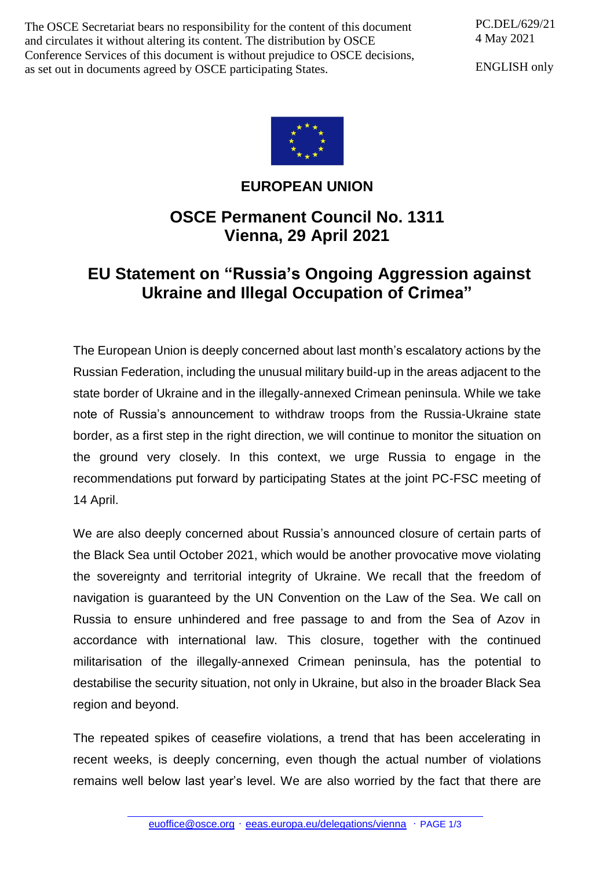The OSCE Secretariat bears no responsibility for the content of this document and circulates it without altering its content. The distribution by OSCE Conference Services of this document is without prejudice to OSCE decisions, as set out in documents agreed by OSCE participating States.

PC.DEL/629/21 4 May 2021

ENGLISH only



## **EUROPEAN UNION**

## **OSCE Permanent Council No. 1311 Vienna, 29 April 2021**

## **EU Statement on "Russia's Ongoing Aggression against Ukraine and Illegal Occupation of Crimea"**

The European Union is deeply concerned about last month's escalatory actions by the Russian Federation, including the unusual military build-up in the areas adjacent to the state border of Ukraine and in the illegally-annexed Crimean peninsula. While we take note of Russia's announcement to withdraw troops from the Russia-Ukraine state border, as a first step in the right direction, we will continue to monitor the situation on the ground very closely. In this context, we urge Russia to engage in the recommendations put forward by participating States at the joint PC-FSC meeting of 14 April.

We are also deeply concerned about Russia's announced closure of certain parts of the Black Sea until October 2021, which would be another provocative move violating the sovereignty and territorial integrity of Ukraine. We recall that the freedom of navigation is guaranteed by the UN Convention on the Law of the Sea. We call on Russia to ensure unhindered and free passage to and from the Sea of Azov in accordance with international law. This closure, together with the continued militarisation of the illegally-annexed Crimean peninsula, has the potential to destabilise the security situation, not only in Ukraine, but also in the broader Black Sea region and beyond.

The repeated spikes of ceasefire violations, a trend that has been accelerating in recent weeks, is deeply concerning, even though the actual number of violations remains well below last year's level. We are also worried by the fact that there are

[euoffice@osce.org](mailto:euoffice@osce.org) • [eeas.europa.eu/delegations/vienna](http://eeas.europa.eu/delegations/vienna) • PAGE 1/3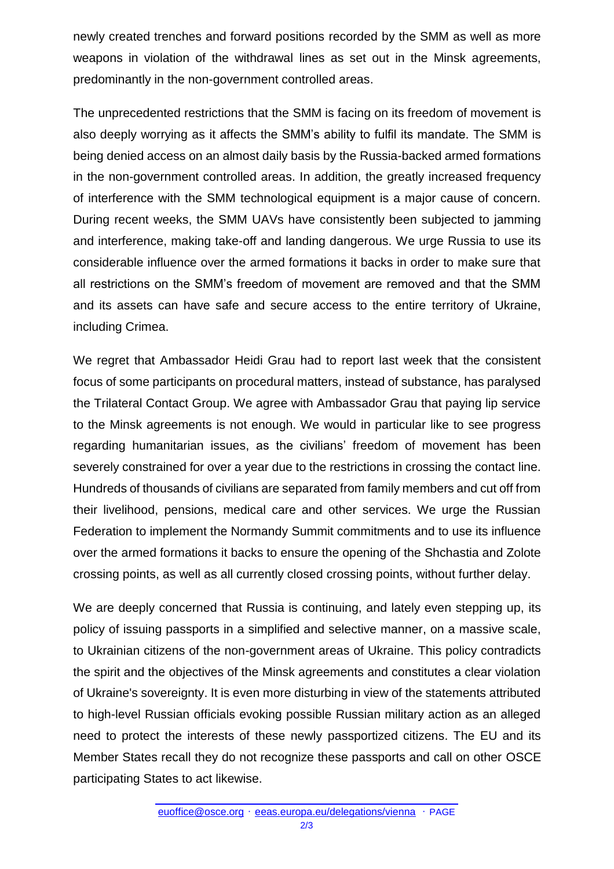newly created trenches and forward positions recorded by the SMM as well as more weapons in violation of the withdrawal lines as set out in the Minsk agreements, predominantly in the non-government controlled areas.

The unprecedented restrictions that the SMM is facing on its freedom of movement is also deeply worrying as it affects the SMM's ability to fulfil its mandate. The SMM is being denied access on an almost daily basis by the Russia-backed armed formations in the non-government controlled areas. In addition, the greatly increased frequency of interference with the SMM technological equipment is a major cause of concern. During recent weeks, the SMM UAVs have consistently been subjected to jamming and interference, making take-off and landing dangerous. We urge Russia to use its considerable influence over the armed formations it backs in order to make sure that all restrictions on the SMM's freedom of movement are removed and that the SMM and its assets can have safe and secure access to the entire territory of Ukraine, including Crimea.

We regret that Ambassador Heidi Grau had to report last week that the consistent focus of some participants on procedural matters, instead of substance, has paralysed the Trilateral Contact Group. We agree with Ambassador Grau that paying lip service to the Minsk agreements is not enough. We would in particular like to see progress regarding humanitarian issues, as the civilians' freedom of movement has been severely constrained for over a year due to the restrictions in crossing the contact line. Hundreds of thousands of civilians are separated from family members and cut off from their livelihood, pensions, medical care and other services. We urge the Russian Federation to implement the Normandy Summit commitments and to use its influence over the armed formations it backs to ensure the opening of the Shchastia and Zolote crossing points, as well as all currently closed crossing points, without further delay.

We are deeply concerned that Russia is continuing, and lately even stepping up, its policy of issuing passports in a simplified and selective manner, on a massive scale, to Ukrainian citizens of the non-government areas of Ukraine. This policy contradicts the spirit and the objectives of the Minsk agreements and constitutes a clear violation of Ukraine's sovereignty. It is even more disturbing in view of the statements attributed to high-level Russian officials evoking possible Russian military action as an alleged need to protect the interests of these newly passportized citizens. The EU and its Member States recall they do not recognize these passports and call on other OSCE participating States to act likewise.